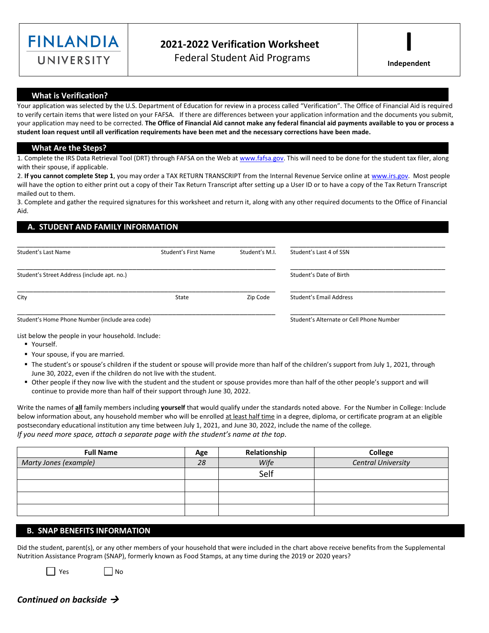

# **2021-2022 Verification Worksheet** Federal Student Aid Programs

**Independent**

**I**

### **What is Verification?**

Your application was selected by the U.S. Department of Education for review in a process called "Verification". The Office of Financial Aid is required to verify certain items that were listed on your FAFSA. If there are differences between your application information and the documents you submit, your application may need to be corrected. **The Office of Financial Aid cannot make any federal financial aid payments available to you or process a student loan request until all verification requirements have been met and the necessary corrections have been made.**

#### **What Are the Steps?**

1. Complete the IRS Data Retrieval Tool (DRT) through FAFSA on the Web a[t www.fafsa.gov.](http://www.fafsa.gov/) This will need to be done for the student tax filer, along with their spouse, if applicable.

2. **If you cannot complete Step 1**, you may order a TAX RETURN TRANSCRIPT from the Internal Revenue Service online a[t www.irs.gov.](http://www.irs.gov/) Most people will have the option to either print out a copy of their Tax Return Transcript after setting up a User ID or to have a copy of the Tax Return Transcript mailed out to them.

3. Complete and gather the required signatures for this worksheet and return it, along with any other required documents to the Office of Financial Aid.

## **A. STUDENT AND FAMILY INFORMATION**

| Student's Last Name                             | Student's First Name | Student's M.I.          | Student's Last 4 of SSN                  |
|-------------------------------------------------|----------------------|-------------------------|------------------------------------------|
| Student's Street Address (include apt. no.)     |                      | Student's Date of Birth |                                          |
| City                                            | State                | Zip Code                | Student's Email Address                  |
| Student's Home Phone Number (include area code) |                      |                         | Student's Alternate or Cell Phone Number |

List below the people in your household. Include:

- Yourself.
- Your spouse, if you are married.
- " The student's or spouse's children if the student or spouse will provide more than half of the children's support from July 1, 2021, through June 30, 2022, even if the children do not live with the student.
- Other people if they now live with the student and the student or spouse provides more than half of the other people's support and will continue to provide more than half of their support through June 30, 2022.

Write the names of **all** family members including **yourself** that would qualify under the standards noted above. For the Number in College: Include below information about, any household member who will be enrolled at least half time in a degree, diploma, or certificate program at an eligible postsecondary educational institution any time between July 1, 2021, and June 30, 2022, include the name of the college. *If you need more space, attach a separate page with the student's name at the top.*

| <b>Full Name</b>      | Age | Relationship | College                   |
|-----------------------|-----|--------------|---------------------------|
| Marty Jones (example) | 28  | Wife         | <b>Central University</b> |
|                       |     | Self         |                           |
|                       |     |              |                           |
|                       |     |              |                           |
|                       |     |              |                           |

### **B. SNAP BENEFITS INFORMATION**

Did the student, parent(s), or any other members of your household that were included in the chart above receive benefits from the Supplemental Nutrition Assistance Program (SNAP), formerly known as Food Stamps, at any time during the 2019 or 2020 years?

||Yes ||No

# *Continued on backside* →